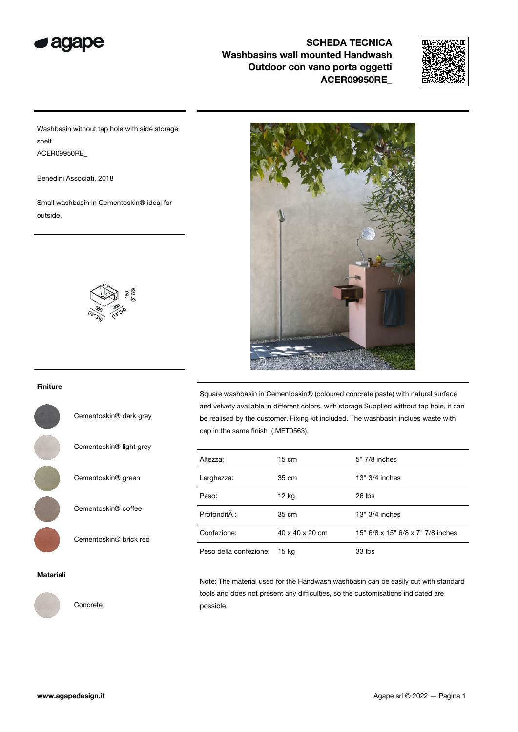



Washbasin without tap hole with side storage shelf ACER09950RE\_

Benedini Associati, 2018

Small washbasin in Cementoskin® ideal for outside.



Cementoskin® dark grey

Cementoskin® light grey

Cementoskin® green

Cementoskin® coffee

Cementoskin® brick red

Square washbasin in Cementoskin® (coloured concrete paste) with natural surface and velvety available in different colors, with storage Supplied without tap hole, it can be realised by the customer. Fixing kit included. The washbasin inclues waste with cap in the same finish (.MET0563).

| Altezza:               | $15 \text{ cm}$ | 5" 7/8 inches                     |
|------------------------|-----------------|-----------------------------------|
| Larghezza:             | 35 cm           | $13" 3/4$ inches                  |
| Peso:                  | 12 kg           | $26$ lbs                          |
| Profondità :           | 35 cm           | $13" 3/4$ inches                  |
| Confezione:            | 40 x 40 x 20 cm | 15" 6/8 x 15" 6/8 x 7" 7/8 inches |
| Peso della confezione: | 15 kg           | 33 lbs                            |

#### Materiali



Concrete

Note: The material used for the Handwash washbasin can be easily cut with standard tools and does not present any difficulties, so the customisations indicated are possible.

#### Finiture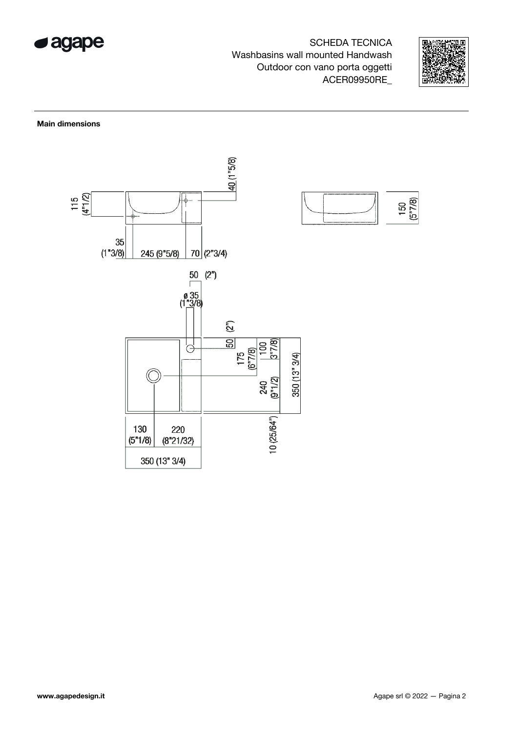



### Main dimensions

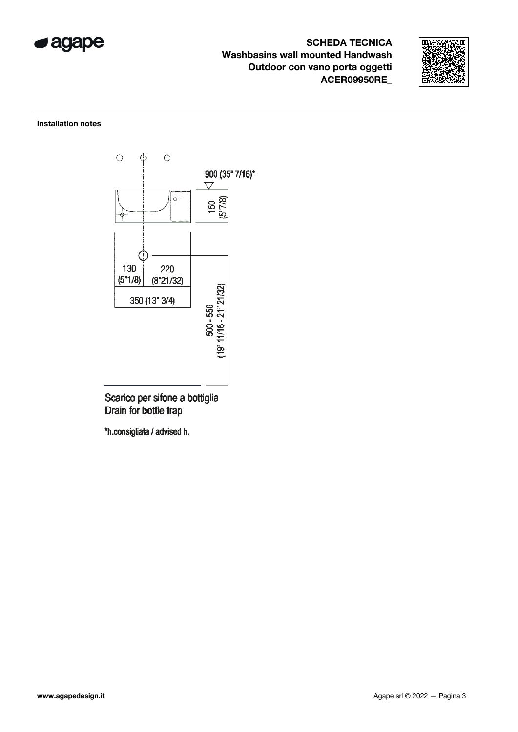



### Installation notes



Scarico per sifone a bottiglia Drain for bottle trap

\*h.consigliata / advised h.